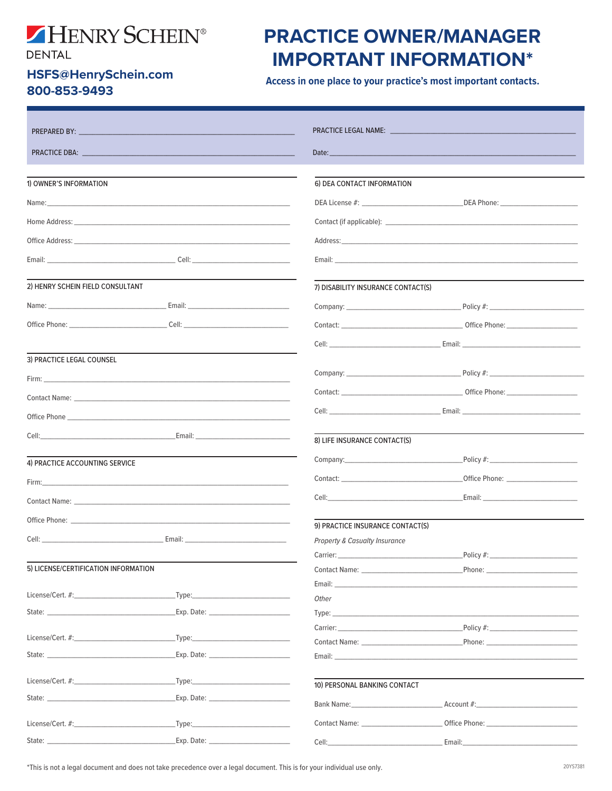## HENRY SCHEIN®

**DENTAL** 

## HSFS@HenrySchein.com 800-853-9493

## **PRACTICE OWNER/MANAGER IMPORTANT INFORMATION\***

Access in one place to your practice's most important contacts.

|                                                                                                                                                                                                                                                                                                                                                                                                                                                                  | PRACTICE LEGAL NAME: <b>And International PRACTICE</b>                                                                                                                                                                         |                                                                                                                                                                                                                                |  |
|------------------------------------------------------------------------------------------------------------------------------------------------------------------------------------------------------------------------------------------------------------------------------------------------------------------------------------------------------------------------------------------------------------------------------------------------------------------|--------------------------------------------------------------------------------------------------------------------------------------------------------------------------------------------------------------------------------|--------------------------------------------------------------------------------------------------------------------------------------------------------------------------------------------------------------------------------|--|
|                                                                                                                                                                                                                                                                                                                                                                                                                                                                  | Date: <u>International Property</u>                                                                                                                                                                                            |                                                                                                                                                                                                                                |  |
|                                                                                                                                                                                                                                                                                                                                                                                                                                                                  |                                                                                                                                                                                                                                |                                                                                                                                                                                                                                |  |
| 1) OWNER'S INFORMATION                                                                                                                                                                                                                                                                                                                                                                                                                                           | 6) DEA CONTACT INFORMATION                                                                                                                                                                                                     |                                                                                                                                                                                                                                |  |
|                                                                                                                                                                                                                                                                                                                                                                                                                                                                  |                                                                                                                                                                                                                                |                                                                                                                                                                                                                                |  |
| Home Address: North States and States and States and States and States and States and States and States and States and States and States and States and States and States and States and States and States and States and Stat                                                                                                                                                                                                                                   |                                                                                                                                                                                                                                |                                                                                                                                                                                                                                |  |
| Office Address: North States and States and States and States and States and States and States and States and States and States and States and States and States and States and States and States and States and States and St                                                                                                                                                                                                                                   | Address: Address: Address: Address: Address: Address: Address: Address: Address: Address: Address: Address: Address: Address: Address: Address: Address: Address: Address: Address: Address: Address: Address: Address: Addres |                                                                                                                                                                                                                                |  |
|                                                                                                                                                                                                                                                                                                                                                                                                                                                                  |                                                                                                                                                                                                                                |                                                                                                                                                                                                                                |  |
| 2) HENRY SCHEIN FIELD CONSULTANT                                                                                                                                                                                                                                                                                                                                                                                                                                 | 7) DISABILITY INSURANCE CONTACT(S)                                                                                                                                                                                             |                                                                                                                                                                                                                                |  |
|                                                                                                                                                                                                                                                                                                                                                                                                                                                                  |                                                                                                                                                                                                                                | Company: Company: Company: Company: Company: Company: Company: Company: Company: Company: Company: Company: Company: Company: Company: Company: Company: Company: Company: Company: Company: Company: Company: Company: Compan |  |
| Office Phone: Cell: Cell:                                                                                                                                                                                                                                                                                                                                                                                                                                        |                                                                                                                                                                                                                                |                                                                                                                                                                                                                                |  |
|                                                                                                                                                                                                                                                                                                                                                                                                                                                                  |                                                                                                                                                                                                                                | Cell: Email: Email: Email: Email: Property of the Cell: Property of the Cell: Property of the Cell: Property of the Cell                                                                                                       |  |
| 3) PRACTICE LEGAL COUNSEL                                                                                                                                                                                                                                                                                                                                                                                                                                        |                                                                                                                                                                                                                                |                                                                                                                                                                                                                                |  |
| Firm: Experiment of the contract of the contract of the contract of the contract of the contract of the contract of the contract of the contract of the contract of the contract of the contract of the contract of the contra                                                                                                                                                                                                                                   |                                                                                                                                                                                                                                | Company: Company: Company:                                                                                                                                                                                                     |  |
|                                                                                                                                                                                                                                                                                                                                                                                                                                                                  |                                                                                                                                                                                                                                |                                                                                                                                                                                                                                |  |
|                                                                                                                                                                                                                                                                                                                                                                                                                                                                  |                                                                                                                                                                                                                                | Cell: Contract Contract Contract Contract Contract Contract Contract Contract Contract Contract Contract Contract Contract Contract Contract Contract Contract Contract Contract Contract Contract Contract Contract Contract  |  |
|                                                                                                                                                                                                                                                                                                                                                                                                                                                                  |                                                                                                                                                                                                                                |                                                                                                                                                                                                                                |  |
|                                                                                                                                                                                                                                                                                                                                                                                                                                                                  | 8) LIFE INSURANCE CONTACT(S)                                                                                                                                                                                                   |                                                                                                                                                                                                                                |  |
| 4) PRACTICE ACCOUNTING SERVICE                                                                                                                                                                                                                                                                                                                                                                                                                                   |                                                                                                                                                                                                                                | Company: Policy #:                                                                                                                                                                                                             |  |
| Firm: Experiment of the contract of the contract of the contract of the contract of the contract of the contract of the contract of the contract of the contract of the contract of the contract of the contract of the contra                                                                                                                                                                                                                                   |                                                                                                                                                                                                                                |                                                                                                                                                                                                                                |  |
|                                                                                                                                                                                                                                                                                                                                                                                                                                                                  | Cell: <b>Cell</b> : <b>Cell Cell Cell Cell Cell Cell Cell Cell Cell Cell Cell Cell Cell Cell Cell Cell Cell Cell Cell Cell Cell Cell Cell Cell Cell Cell Cell Cell Cell Cell</b>                                               | Email: Email: Email: Email: Email: Email: Email: Email: Email: Email: Email: Email: Email: Email: Email: Email: Email: Email: Email: Email: Email: Email: Email: Email: Email: Email: Email: Email: Email: Email: Email: Email |  |
|                                                                                                                                                                                                                                                                                                                                                                                                                                                                  |                                                                                                                                                                                                                                |                                                                                                                                                                                                                                |  |
| Cell: Cell: Cell Contract Contract Contract Contract Contract Contract Contract Contract Contract Contract Contract Contract Contract Contract Contract Contract Contract Contract Contract Contract Contract Contract Contrac                                                                                                                                                                                                                                   | 9) PRACTICE INSURANCE CONTACT(S)<br>Property & Casualty Insurance                                                                                                                                                              |                                                                                                                                                                                                                                |  |
|                                                                                                                                                                                                                                                                                                                                                                                                                                                                  |                                                                                                                                                                                                                                |                                                                                                                                                                                                                                |  |
| 5) LICENSE/CERTIFICATION INFORMATION                                                                                                                                                                                                                                                                                                                                                                                                                             |                                                                                                                                                                                                                                |                                                                                                                                                                                                                                |  |
|                                                                                                                                                                                                                                                                                                                                                                                                                                                                  | Email: Email: Email: Email: Email: Email: Email: Email: Email: Email: Email: Email: Email: Email: Email: Email: Email: Email: Email: Email: Email: Email: Email: Email: Email: Email: Email: Email: Email: Email: Email: Email |                                                                                                                                                                                                                                |  |
| $\overline{\phantom{a}}$ Type:                                                                                                                                                                                                                                                                                                                                                                                                                                   | <b>Other</b>                                                                                                                                                                                                                   |                                                                                                                                                                                                                                |  |
| State: The Commission of the Commission of the Commission of the Commission of the Commission of the Commission                                                                                                                                                                                                                                                                                                                                                  |                                                                                                                                                                                                                                |                                                                                                                                                                                                                                |  |
| Type: The contract of the contract of the contract of the contract of the contract of the contract of the contract of the contract of the contract of the contract of the contract of the contract of the contract of the cont                                                                                                                                                                                                                                   |                                                                                                                                                                                                                                | Carrier: Policy #: Policy #:                                                                                                                                                                                                   |  |
| State: The Company of the Company of the Company of the Company of the Company of the Company of the Company of the Company of the Company of the Company of the Company of the Company of the Company of the Company of the C                                                                                                                                                                                                                                   |                                                                                                                                                                                                                                |                                                                                                                                                                                                                                |  |
|                                                                                                                                                                                                                                                                                                                                                                                                                                                                  |                                                                                                                                                                                                                                |                                                                                                                                                                                                                                |  |
| License/Cert. #: Electrical Contract Contract Contract Contract Contract Contract Contract Contract Contract Contract Contract Contract Contract Contract Contract Contract Contract Contract Contract Contract Contract Contr<br>Type: The contract of the contract of the contract of the contract of the contract of the contract of the contract of the contract of the contract of the contract of the contract of the contract of the contract of the cont | 10) PERSONAL BANKING CONTACT                                                                                                                                                                                                   |                                                                                                                                                                                                                                |  |
| State: The Company of the Company of the Company of the Company of the Company of the Company of the Company of the Company of the Company of the Company of the Company of the Company of the Company of the Company of the C                                                                                                                                                                                                                                   |                                                                                                                                                                                                                                |                                                                                                                                                                                                                                |  |
|                                                                                                                                                                                                                                                                                                                                                                                                                                                                  |                                                                                                                                                                                                                                | Contact Name: Contact Numerical Contact Numerical Contact Numerical Control Office Phone:                                                                                                                                      |  |
|                                                                                                                                                                                                                                                                                                                                                                                                                                                                  | Cell:                                                                                                                                                                                                                          | Email:                                                                                                                                                                                                                         |  |